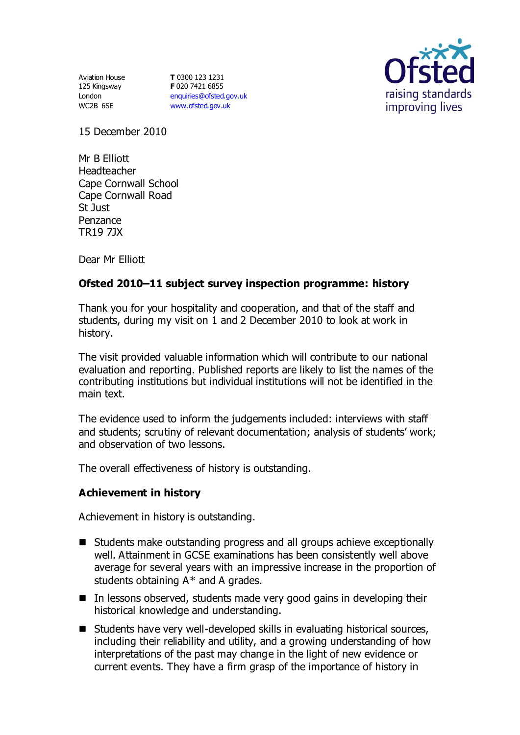Aviation House 125 Kingsway London WC2B 6SE

**T** 0300 123 1231 **F** 020 7421 6855 [enquiries@ofsted.gov.uk](mailto:enquiries@ofsted.gov.uk) [www.ofsted.gov.uk](http://www.ofsted.gov.uk/)



15 December 2010

Mr B Elliott Headteacher Cape Cornwall School Cape Cornwall Road St Just Penzance TR19 7JX

Dear Mr Elliott

# **Ofsted 2010–11 subject survey inspection programme: history**

Thank you for your hospitality and cooperation, and that of the staff and students, during my visit on 1 and 2 December 2010 to look at work in history.

The visit provided valuable information which will contribute to our national evaluation and reporting. Published reports are likely to list the names of the contributing institutions but individual institutions will not be identified in the main text.

The evidence used to inform the judgements included: interviews with staff and students; scrutiny of relevant documentation; analysis of students' work; and observation of two lessons.

The overall effectiveness of history is outstanding.

### **Achievement in history**

Achievement in history is outstanding.

- Students make outstanding progress and all groups achieve exceptionally well. Attainment in GCSE examinations has been consistently well above average for several years with an impressive increase in the proportion of students obtaining  $A^*$  and A grades.
- $\blacksquare$  In lessons observed, students made very good gains in developing their historical knowledge and understanding.
- Students have very well-developed skills in evaluating historical sources, including their reliability and utility, and a growing understanding of how interpretations of the past may change in the light of new evidence or current events. They have a firm grasp of the importance of history in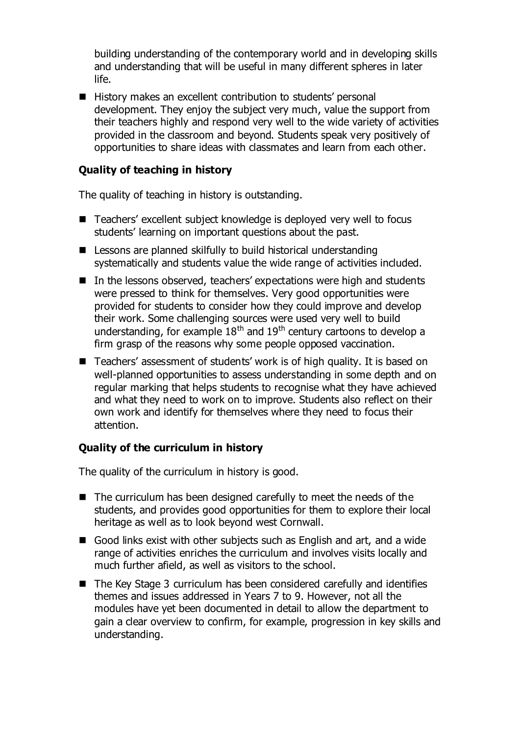building understanding of the contemporary world and in developing skills and understanding that will be useful in many different spheres in later life.

■ History makes an excellent contribution to students' personal development. They enjoy the subject very much, value the support from their teachers highly and respond very well to the wide variety of activities provided in the classroom and beyond. Students speak very positively of opportunities to share ideas with classmates and learn from each other.

### **Quality of teaching in history**

The quality of teaching in history is outstanding.

- Teachers' excellent subject knowledge is deployed very well to focus students' learning on important questions about the past.
- Lessons are planned skilfully to build historical understanding systematically and students value the wide range of activities included.
- In the lessons observed, teachers' expectations were high and students were pressed to think for themselves. Very good opportunities were provided for students to consider how they could improve and develop their work. Some challenging sources were used very well to build understanding, for example  $18<sup>th</sup>$  and  $19<sup>th</sup>$  century cartoons to develop a firm grasp of the reasons why some people opposed vaccination.
- Teachers' assessment of students' work is of high quality. It is based on well-planned opportunities to assess understanding in some depth and on regular marking that helps students to recognise what they have achieved and what they need to work on to improve. Students also reflect on their own work and identify for themselves where they need to focus their attention.

### **Quality of the curriculum in history**

The quality of the curriculum in history is good.

- The curriculum has been designed carefully to meet the needs of the students, and provides good opportunities for them to explore their local heritage as well as to look beyond west Cornwall.
- Good links exist with other subjects such as English and art, and a wide range of activities enriches the curriculum and involves visits locally and much further afield, as well as visitors to the school.
- The Key Stage 3 curriculum has been considered carefully and identifies themes and issues addressed in Years 7 to 9. However, not all the modules have yet been documented in detail to allow the department to gain a clear overview to confirm, for example, progression in key skills and understanding.